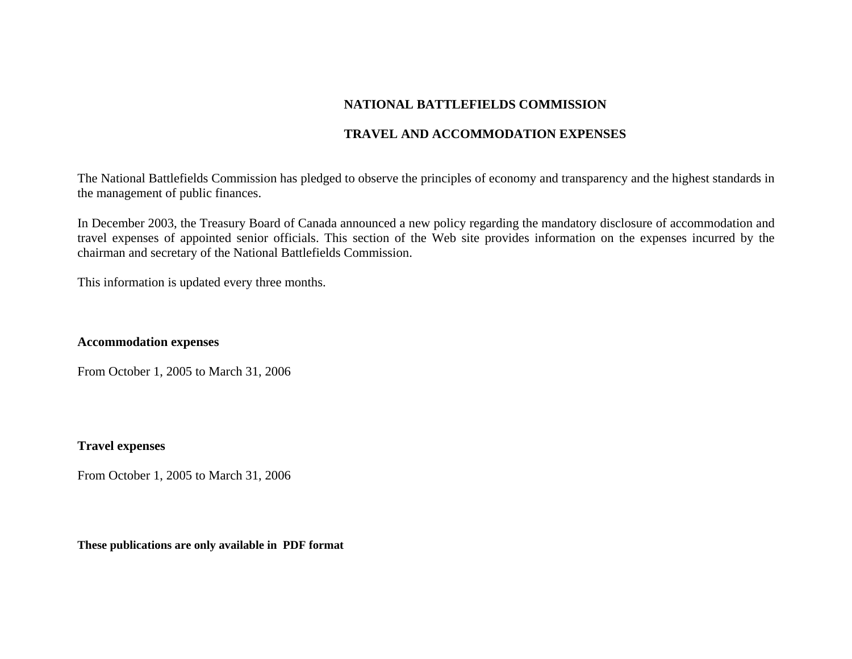# **NATIONAL BATTLEFIELDS COMMISSION**

## **TRAVEL AND ACCOMMODATION EXPENSES**

The National Battlefields Commission has pledged to observe the principles of economy and transparency and the highest standards in the management of public finances.

In December 2003, the Treasury Board of Canada announced a new policy regarding the mandatory disclosure of accommodation and travel expenses of appointed senior officials. This section of the Web site provides information on the expenses incurred by the chairman and secretary of the National Battlefields Commission.

This information is updated every three months.

## **Accommodation expenses**

From October 1, 2005 to March 31, 2006

## **Travel expenses**

From October 1, 2005 to March 31, 2006

**These publications are only available in PDF format**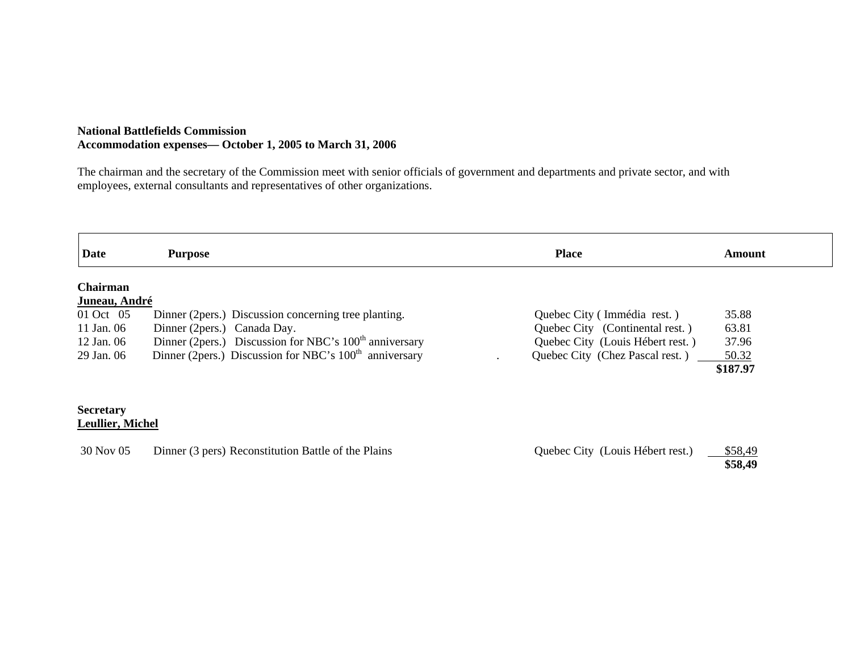#### **National Battlefields Commission Accommodation expenses— October 1, 2005 to March 31, 2006**

The chairman and the secretary of the Commission meet with senior officials of government and departments and private sector, and with employees, external consultants and representatives of other organizations.

| Date                                        | <b>Purpose</b>                                                     | <b>Place</b>                     | <b>Amount</b> |
|---------------------------------------------|--------------------------------------------------------------------|----------------------------------|---------------|
| Chairman                                    |                                                                    |                                  |               |
| Juneau, André                               |                                                                    |                                  |               |
| 01 Oct 05                                   | Dinner (2 pers.) Discussion concerning tree planting.              | Quebec City (Immédia rest.)      | 35.88         |
| 11 Jan. 06                                  | Dinner (2pers.) Canada Day.                                        | Quebec City (Continental rest.)  | 63.81         |
| 12 Jan. 06                                  | Dinner (2pers.) Discussion for NBC's 100 <sup>th</sup> anniversary | Quebec City (Louis Hébert rest.) | 37.96         |
| 29 Jan. 06                                  | Dinner (2pers.) Discussion for NBC's 100 <sup>th</sup> anniversary | Quebec City (Chez Pascal rest.)  | 50.32         |
|                                             |                                                                    |                                  | \$187.97      |
| <b>Secretary</b><br><b>Leullier, Michel</b> |                                                                    |                                  |               |
| 30 Nov 05                                   | Dinner (3 pers) Reconstitution Battle of the Plains                | Quebec City (Louis Hébert rest.) | \$58,49       |

**\$58,49**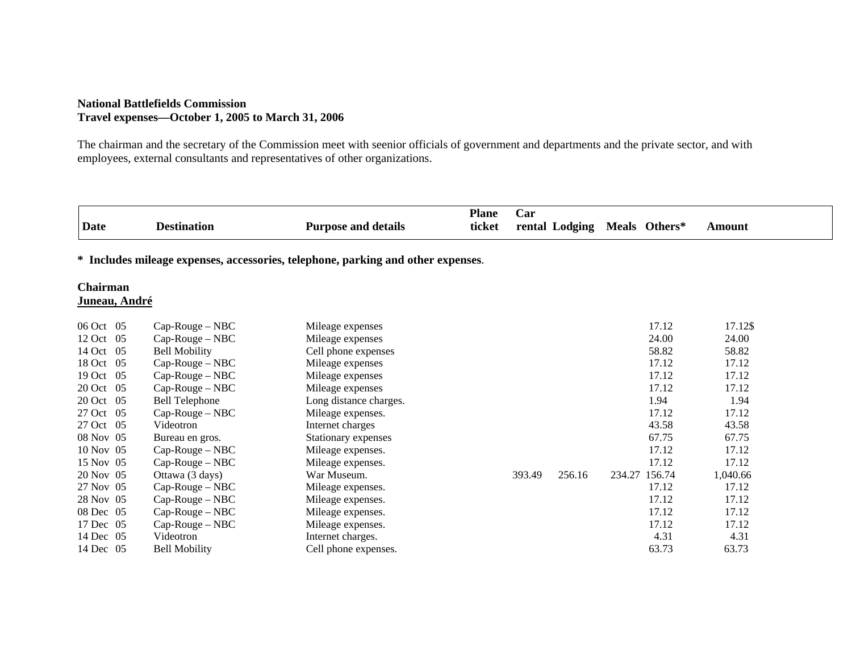#### **National Battlefields Commission Travel expenses—October 1, 2005 to March 31, 2006**

The chairman and the secretary of the Commission meet with seenior officials of government and departments and the private sector, and with employees, external consultants and representatives of other organizations.

| Date                                                                             |                           | <b>Destination</b>    | <b>Purpose and details</b> | <b>Plane</b><br>ticket | Car    | rental Lodging |        | Meals Others* | Amount   |  |
|----------------------------------------------------------------------------------|---------------------------|-----------------------|----------------------------|------------------------|--------|----------------|--------|---------------|----------|--|
| * Includes mileage expenses, accessories, telephone, parking and other expenses. |                           |                       |                            |                        |        |                |        |               |          |  |
|                                                                                  | Chairman<br>Juneau, André |                       |                            |                        |        |                |        |               |          |  |
|                                                                                  | 06 Oct 05                 | $Cap-Rouge-NBC$       | Mileage expenses           |                        |        |                |        | 17.12         | 17.12\$  |  |
|                                                                                  | 12 Oct 05                 | $Cap-Rouge-NBC$       | Mileage expenses           |                        |        |                |        | 24.00         | 24.00    |  |
|                                                                                  | 14 Oct 05                 | <b>Bell Mobility</b>  | Cell phone expenses        |                        |        |                |        | 58.82         | 58.82    |  |
|                                                                                  | 18 Oct 05                 | $Cap-Rouge-NBC$       | Mileage expenses           |                        |        |                |        | 17.12         | 17.12    |  |
|                                                                                  | 19 Oct 05                 | $Cap-Rouge-NBC$       | Mileage expenses           |                        |        |                |        | 17.12         | 17.12    |  |
|                                                                                  | 20 Oct 05                 | $Cap-Rouge-NBC$       | Mileage expenses           |                        |        |                |        | 17.12         | 17.12    |  |
|                                                                                  | 20 Oct 05                 | <b>Bell Telephone</b> | Long distance charges.     |                        |        |                |        | 1.94          | 1.94     |  |
|                                                                                  | 27 Oct 05                 | Cap-Rouge - NBC       | Mileage expenses.          |                        |        |                |        | 17.12         | 17.12    |  |
|                                                                                  | 27 Oct 05                 | Videotron             | Internet charges           |                        |        |                |        | 43.58         | 43.58    |  |
|                                                                                  | 08 Nov 05                 | Bureau en gros.       | Stationary expenses        |                        |        |                |        | 67.75         | 67.75    |  |
|                                                                                  | 10 Nov 05                 | $Cap-Rouge-NBC$       | Mileage expenses.          |                        |        |                |        | 17.12         | 17.12    |  |
|                                                                                  | 15 Nov 05                 | $Cap-Rouge-NBC$       | Mileage expenses.          |                        |        |                |        | 17.12         | 17.12    |  |
|                                                                                  | 20 Nov 05                 | Ottawa (3 days)       | War Museum.                |                        | 393.49 | 256.16         | 234.27 | 156.74        | 1,040.66 |  |
|                                                                                  | 27 Nov 05                 | $Cap-Rouge-NBC$       | Mileage expenses.          |                        |        |                |        | 17.12         | 17.12    |  |
|                                                                                  | 28 Nov 05                 | $Cap-Rouge-NBC$       | Mileage expenses.          |                        |        |                |        | 17.12         | 17.12    |  |
|                                                                                  | 08 Dec 05                 | $Cap-Rouge-NBC$       | Mileage expenses.          |                        |        |                |        | 17.12         | 17.12    |  |
|                                                                                  | 17 Dec 05                 | Cap-Rouge – NBC       | Mileage expenses.          |                        |        |                |        | 17.12         | 17.12    |  |
|                                                                                  | 14 Dec 05                 | Videotron             | Internet charges.          |                        |        |                |        | 4.31          | 4.31     |  |
|                                                                                  | 14 Dec 05                 | <b>Bell Mobility</b>  | Cell phone expenses.       |                        |        |                |        | 63.73         | 63.73    |  |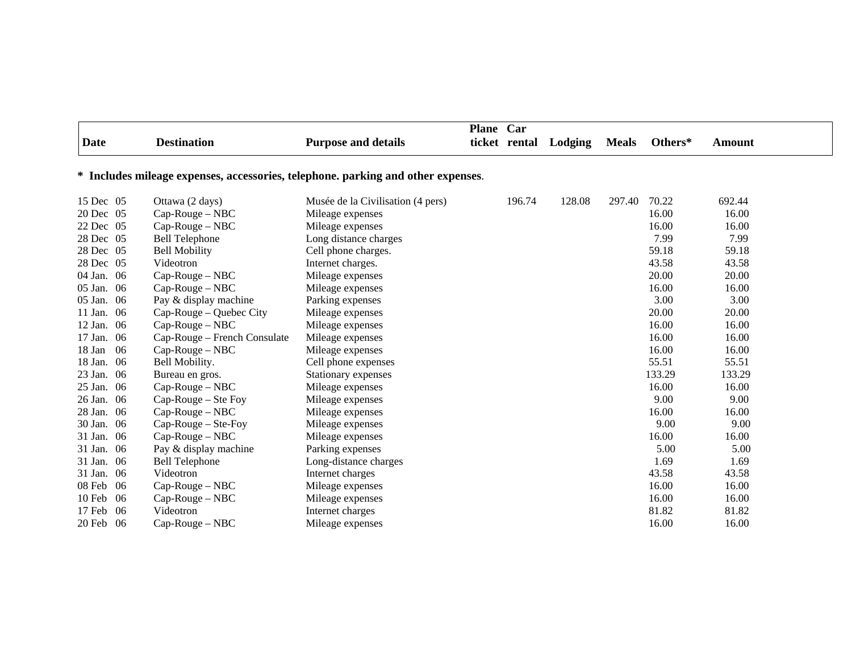|             |     |                              |                                                                                  | Plane Car |               |         |              |         |               |  |
|-------------|-----|------------------------------|----------------------------------------------------------------------------------|-----------|---------------|---------|--------------|---------|---------------|--|
| <b>Date</b> |     | <b>Destination</b>           | <b>Purpose and details</b>                                                       |           | ticket rental | Lodging | <b>Meals</b> | Others* | <b>Amount</b> |  |
|             |     |                              | * Includes mileage expenses, accessories, telephone. parking and other expenses. |           |               |         |              |         |               |  |
| 15 Dec 05   |     | Ottawa (2 days)              | Musée de la Civilisation (4 pers)                                                |           | 196.74        | 128.08  | 297.40       | 70.22   | 692.44        |  |
| 20 Dec 05   |     | $Cap-Rouge-NBC$              | Mileage expenses                                                                 |           |               |         |              | 16.00   | 16.00         |  |
| 22 Dec 05   |     | $Cap-Rouge-NBC$              | Mileage expenses                                                                 |           |               |         |              | 16.00   | 16.00         |  |
| 28 Dec 05   |     | <b>Bell Telephone</b>        | Long distance charges                                                            |           |               |         |              | 7.99    | 7.99          |  |
| 28 Dec 05   |     | <b>Bell Mobility</b>         | Cell phone charges.                                                              |           |               |         |              | 59.18   | 59.18         |  |
| 28 Dec 05   |     | Videotron                    | Internet charges.                                                                |           |               |         |              | 43.58   | 43.58         |  |
| 04 Jan. 06  |     | $Cap-Rouge-NBC$              | Mileage expenses                                                                 |           |               |         |              | 20.00   | 20.00         |  |
| 05 Jan. 06  |     | $Cap-Rouge-NBC$              | Mileage expenses                                                                 |           |               |         |              | 16.00   | 16.00         |  |
| 05 Jan. 06  |     | Pay & display machine        | Parking expenses                                                                 |           |               |         |              | 3.00    | 3.00          |  |
| 11 Jan. 06  |     | Cap-Rouge – Quebec City      | Mileage expenses                                                                 |           |               |         |              | 20.00   | 20.00         |  |
| 12 Jan. 06  |     | Cap-Rouge - NBC              | Mileage expenses                                                                 |           |               |         |              | 16.00   | 16.00         |  |
| 17 Jan. 06  |     | Cap-Rouge – French Consulate | Mileage expenses                                                                 |           |               |         |              | 16.00   | 16.00         |  |
| 18 Jan      | -06 | $Cap-Rouge-NBC$              | Mileage expenses                                                                 |           |               |         |              | 16.00   | 16.00         |  |
| 18 Jan. 06  |     | Bell Mobility.               | Cell phone expenses                                                              |           |               |         |              | 55.51   | 55.51         |  |
| 23 Jan. 06  |     | Bureau en gros.              | Stationary expenses                                                              |           |               |         |              | 133.29  | 133.29        |  |
| 25 Jan. 06  |     | $Cap-Rouge-NBC$              | Mileage expenses                                                                 |           |               |         |              | 16.00   | 16.00         |  |
| 26 Jan. 06  |     | $Cap-Rouge - Ste Foy$        | Mileage expenses                                                                 |           |               |         |              | 9.00    | 9.00          |  |
| 28 Jan. 06  |     | $Cap-Rouge-NBC$              | Mileage expenses                                                                 |           |               |         |              | 16.00   | 16.00         |  |
| 30 Jan. 06  |     | $Cap-Rouge - Ste-Foy$        | Mileage expenses                                                                 |           |               |         |              | 9.00    | 9.00          |  |
| 31 Jan. 06  |     | $Cap-Rouge-NBC$              | Mileage expenses                                                                 |           |               |         |              | 16.00   | 16.00         |  |
| 31 Jan. 06  |     | Pay & display machine        | Parking expenses                                                                 |           |               |         |              | 5.00    | 5.00          |  |
| 31 Jan. 06  |     | <b>Bell Telephone</b>        | Long-distance charges                                                            |           |               |         |              | 1.69    | 1.69          |  |
| 31 Jan. 06  |     | Videotron                    | Internet charges                                                                 |           |               |         |              | 43.58   | 43.58         |  |
| 08 Feb 06   |     | $Cap-Rouge-NBC$              | Mileage expenses                                                                 |           |               |         |              | 16.00   | 16.00         |  |
| 10 Feb 06   |     | $Cap-Rouge-NBC$              | Mileage expenses                                                                 |           |               |         |              | 16.00   | 16.00         |  |
| 17 Feb 06   |     | Videotron                    | Internet charges                                                                 |           |               |         |              | 81.82   | 81.82         |  |
| 20 Feb 06   |     | $Cap-Rouge-NBC$              | Mileage expenses                                                                 |           |               |         |              | 16.00   | 16.00         |  |